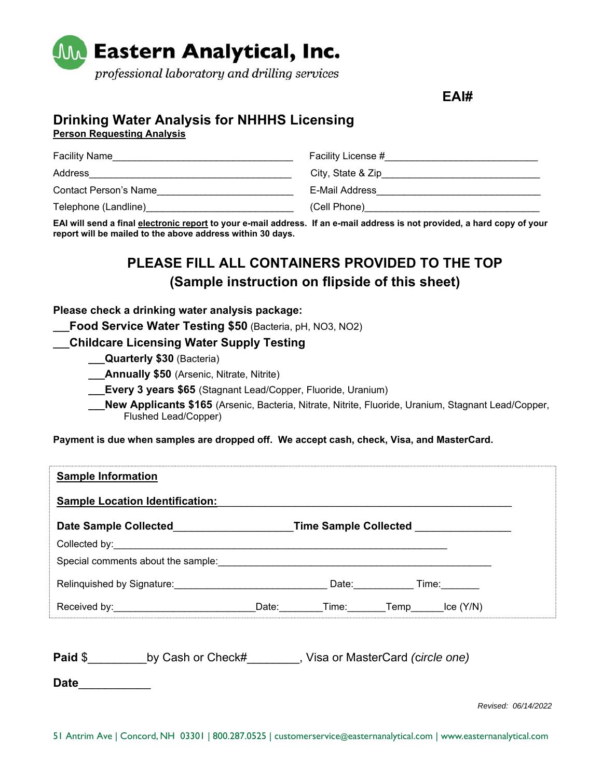

**EAI#** 

## **Drinking Water Analysis for NHHHS Licensing**

**Person Requesting Analysis** 

| <b>Facility Name</b>  | Facility License # |
|-----------------------|--------------------|
| Address               | City, State & Zip  |
| Contact Person's Name | E-Mail Address     |
| Telephone (Landline)  | (Cell Phone)       |

**EAI will send a final electronic report to your e-mail address. If an e-mail address is not provided, a hard copy of your report will be mailed to the above address within 30 days.** 

## **PLEASE FILL ALL CONTAINERS PROVIDED TO THE TOP (Sample instruction on flipside of this sheet)**

**Please check a drinking water analysis package:** 

**\_\_\_Food Service Water Testing \$50** (Bacteria, pH, NO3, NO2)

**\_\_\_Childcare Licensing Water Supply Testing** 

**\_\_\_Quarterly \$30** (Bacteria)

**Annually \$50** (Arsenic, Nitrate, Nitrite)

**Every 3 years \$65** (Stagnant Lead/Copper, Fluoride, Uranium)

**\_\_\_New Applicants \$165** (Arsenic, Bacteria, Nitrate, Nitrite, Fluoride, Uranium, Stagnant Lead/Copper, Flushed Lead/Copper)

**Payment is due when samples are dropped off. We accept cash, check, Visa, and MasterCard.** 

| <b>Sample Location Identification:</b> |                              |             |      |          |  |
|----------------------------------------|------------------------------|-------------|------|----------|--|
| <b>Date Sample Collected</b>           | <b>Time Sample Collected</b> |             |      |          |  |
|                                        |                              |             |      |          |  |
| Special comments about the sample:     |                              |             |      |          |  |
| Relinquished by Signature:             |                              | Date: Date: |      | Time:    |  |
|                                        | Date:                        | Time: Time  | Temp | lce(Y/N) |  |

**Paid** \$\_\_\_\_\_\_\_\_\_by Cash or Check#\_\_\_\_\_\_\_\_, Visa or MasterCard *(*c*ircle one)* 

**Date**\_\_\_\_\_\_\_\_\_\_\_

*Revised: 06/14/2022*